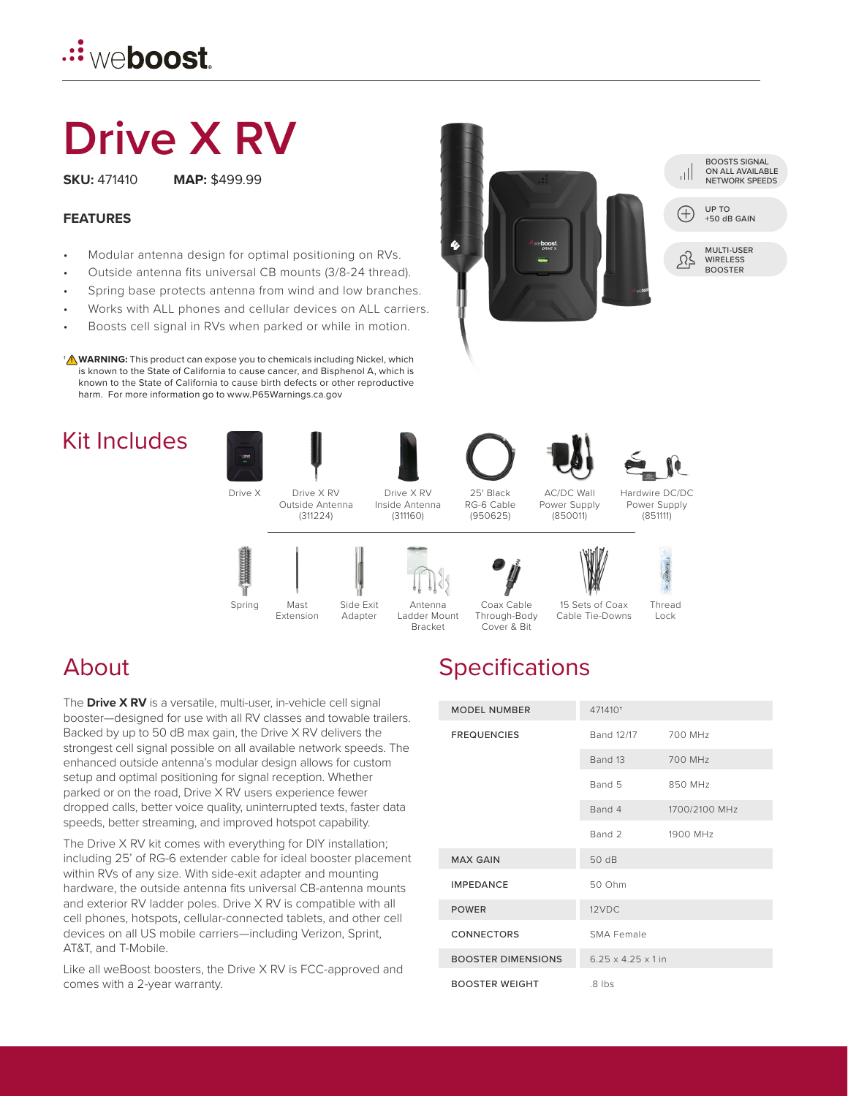# *.::* weboost.

# **Drive X RV**

**SKU:** 471410 **MAP:** \$499.99

#### **FEATURES**

- Modular antenna design for optimal positioning on RVs.
- Outside antenna fits universal CB mounts (3/8-24 thread).
- Spring base protects antenna from wind and low branches.
- Works with ALL phones and cellular devices on ALL carriers.
- Boosts cell signal in RVs when parked or while in motion.

**WARNING:** This product can expose you to chemicals including Nickel, which † **!** is known to the State of California to cause cancer, and Bisphenol A, which is known to the State of California to cause birth defects or other reproductive harm. For more information go to www.P65Warnings.ca.gov

## Kit Includes



Mast Extension



25' Black RG-6 Cable (950625)

AC/DC Wall Power Supply (850011)





**Adapter** 

Spring Mast Side Exit Antenna Coax Cable 15 Sets of Coax Thread Antenna Ladder Mount Bracket

Coax Cable Through-Body



Cover & Bit

Lock Cable Tie-Downs

# About

The **Drive X RV** is a versatile, multi-user, in-vehicle cell signal booster—designed for use with all RV classes and towable trailers. Backed by up to 50 dB max gain, the Drive X RV delivers the strongest cell signal possible on all available network speeds. The enhanced outside antenna's modular design allows for custom setup and optimal positioning for signal reception. Whether parked or on the road, Drive X RV users experience fewer dropped calls, better voice quality, uninterrupted texts, faster data speeds, better streaming, and improved hotspot capability.

'n

The Drive X RV kit comes with everything for DIY installation; including 25' of RG-6 extender cable for ideal booster placement within RVs of any size. With side-exit adapter and mounting hardware, the outside antenna fits universal CB-antenna mounts and exterior RV ladder poles. Drive X RV is compatible with all cell phones, hotspots, cellular-connected tablets, and other cell devices on all US mobile carriers—including Verizon, Sprint, AT&T, and T-Mobile.

Like all weBoost boosters, the Drive X RV is FCC-approved and comes with a 2-year warranty.

# **Specifications**

| <b>MODEL NUMBER</b>       | 471410 <sup>+</sup>            |               |
|---------------------------|--------------------------------|---------------|
| <b>FREQUENCIES</b>        | Band 12/17                     | 700 MHz       |
|                           | Band 13                        | 700 MHz       |
|                           | Band 5                         | 850 MHz       |
|                           | Band 4                         | 1700/2100 MHz |
|                           | Rand 2                         | 1900 MHz      |
| <b>MAX GAIN</b>           | 50 dB                          |               |
| <b>IMPEDANCE</b>          | 50 Ohm                         |               |
| <b>POWER</b>              | 12VDC                          |               |
| <b>CONNECTORS</b>         | SMA Female                     |               |
| <b>BOOSTER DIMENSIONS</b> | $6.25 \times 4.25 \times 1$ in |               |
| <b>BOOSTER WEIGHT</b>     | $.8$ lbs                       |               |